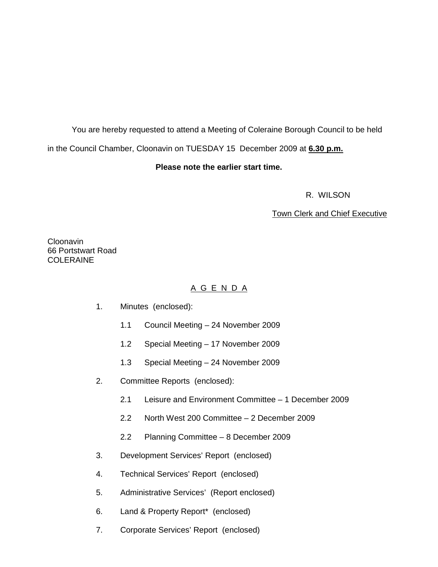You are hereby requested to attend a Meeting of Coleraine Borough Council to be held in the Council Chamber, Cloonavin on TUESDAY 15 December 2009 at **6.30 p.m.** 

# **Please note the earlier start time.**

R. WILSON

# Town Clerk and Chief Executive

Cloonavin 66 Portstwart Road COLERAINE

# A G E N D A

- 1. Minutes (enclosed):
	- 1.1 Council Meeting 24 November 2009
	- 1.2 Special Meeting 17 November 2009
	- 1.3 Special Meeting 24 November 2009
- 2. Committee Reports (enclosed):
	- 2.1 Leisure and Environment Committee 1 December 2009
	- 2.2 North West 200 Committee 2 December 2009
	- 2.2 Planning Committee 8 December 2009
- 3. Development Services' Report (enclosed)
- 4. Technical Services' Report (enclosed)
- 5. Administrative Services' (Report enclosed)
- 6. Land & Property Report\* (enclosed)
- 7. Corporate Services' Report (enclosed)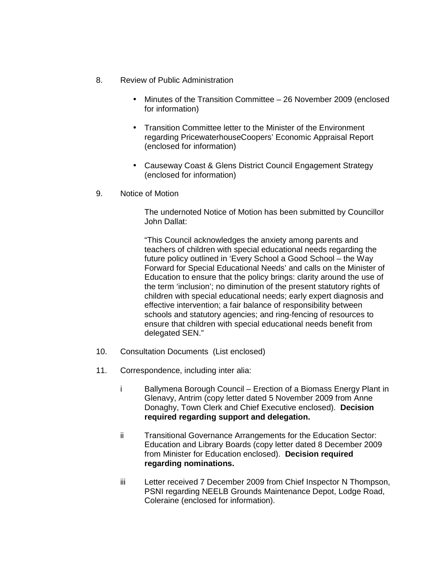- 8. Review of Public Administration
	- Minutes of the Transition Committee 26 November 2009 (enclosed for information)
	- Transition Committee letter to the Minister of the Environment regarding PricewaterhouseCoopers' Economic Appraisal Report (enclosed for information)
	- Causeway Coast & Glens District Council Engagement Strategy (enclosed for information)
- 9. Notice of Motion

 The undernoted Notice of Motion has been submitted by Councillor John Dallat:

"This Council acknowledges the anxiety among parents and teachers of children with special educational needs regarding the future policy outlined in 'Every School a Good School – the Way Forward for Special Educational Needs' and calls on the Minister of Education to ensure that the policy brings: clarity around the use of the term 'inclusion'; no diminution of the present statutory rights of children with special educational needs; early expert diagnosis and effective intervention; a fair balance of responsibility between schools and statutory agencies; and ring-fencing of resources to ensure that children with special educational needs benefit from delegated SEN."

- 10. Consultation Documents (List enclosed)
- 11. Correspondence, including inter alia:
	- i Ballymena Borough Council Erection of a Biomass Energy Plant in Glenavy, Antrim (copy letter dated 5 November 2009 from Anne Donaghy, Town Clerk and Chief Executive enclosed). **Decision required regarding support and delegation.**
	- ii Transitional Governance Arrangements for the Education Sector: Education and Library Boards (copy letter dated 8 December 2009 from Minister for Education enclosed). **Decision required regarding nominations.**
	- iii Letter received 7 December 2009 from Chief Inspector N Thompson, PSNI regarding NEELB Grounds Maintenance Depot, Lodge Road, Coleraine (enclosed for information).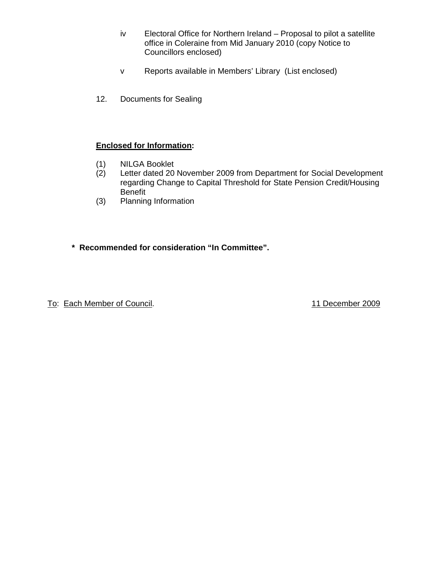- iv Electoral Office for Northern Ireland Proposal to pilot a satellite office in Coleraine from Mid January 2010 (copy Notice to Councillors enclosed)
- v Reports available in Members' Library (List enclosed)
- 12. Documents for Sealing

# **Enclosed for Information:**

- (1) NILGA Booklet
- (2) Letter dated 20 November 2009 from Department for Social Development regarding Change to Capital Threshold for State Pension Credit/Housing Benefit
- (3) Planning Information
- **\* Recommended for consideration "In Committee".**

To: Each Member of Council. To: Each Member of Council.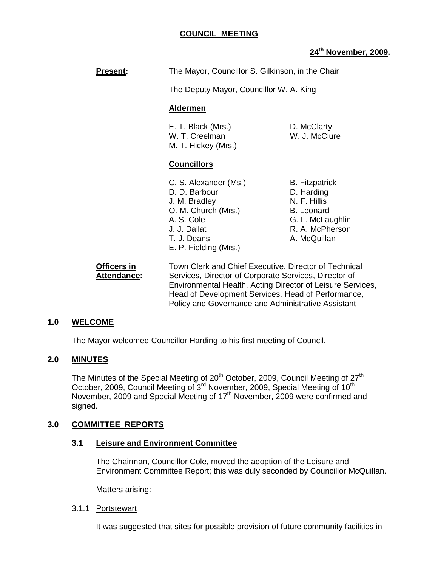# **COUNCIL MEETING**

# **24th November, 2009.**

| <b>Present:</b> | The Mayor, Councillor S. Gilkinson, in the Chair                                                                                                     |                                                                                                                                 |
|-----------------|------------------------------------------------------------------------------------------------------------------------------------------------------|---------------------------------------------------------------------------------------------------------------------------------|
|                 | The Deputy Mayor, Councillor W. A. King                                                                                                              |                                                                                                                                 |
|                 | <b>Aldermen</b>                                                                                                                                      |                                                                                                                                 |
|                 | E. T. Black (Mrs.)<br>W. T. Creelman<br>M. T. Hickey (Mrs.)                                                                                          | D. McClarty<br>W. J. McClure                                                                                                    |
|                 | <b>Councillors</b>                                                                                                                                   |                                                                                                                                 |
|                 | C. S. Alexander (Ms.)<br>D. D. Barbour<br>J. M. Bradley<br>O. M. Church (Mrs.)<br>A. S. Cole<br>J. J. Dallat<br>T. J. Deans<br>E. P. Fielding (Mrs.) | <b>B.</b> Fitzpatrick<br>D. Harding<br>N. F. Hillis<br><b>B.</b> Leonard<br>G. L. McLaughlin<br>R. A. McPherson<br>A. McQuillan |

**Officers in** Town Clerk and Chief Executive, Director of Technical Attendance: Services, Director of Corporate Services, Director of Environmental Health, Acting Director of Leisure Services, Head of Development Services, Head of Performance, Policy and Governance and Administrative Assistant

# **1.0 WELCOME**

The Mayor welcomed Councillor Harding to his first meeting of Council.

# **2.0 MINUTES**

The Minutes of the Special Meeting of 20<sup>th</sup> October, 2009, Council Meeting of 27<sup>th</sup> October, 2009, Council Meeting of 3<sup>rd</sup> November, 2009, Special Meeting of 10<sup>th</sup> November, 2009 and Special Meeting of 17<sup>th</sup> November, 2009 were confirmed and signed.

# **3.0 COMMITTEE REPORTS**

#### **3.1 Leisure and Environment Committee**

 The Chairman, Councillor Cole, moved the adoption of the Leisure and Environment Committee Report; this was duly seconded by Councillor McQuillan.

Matters arising:

#### 3.1.1 Portstewart

It was suggested that sites for possible provision of future community facilities in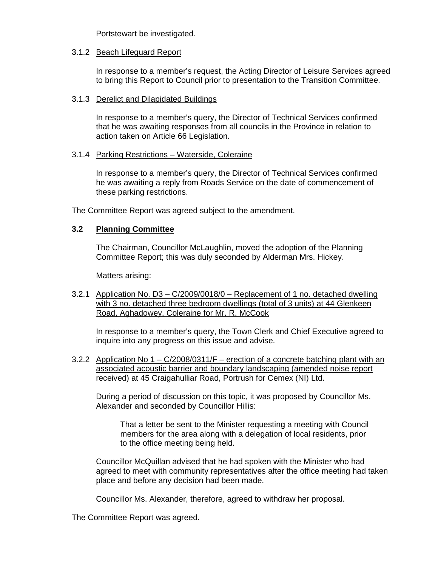Portstewart be investigated.

### 3.1.2 Beach Lifeguard Report

 In response to a member's request, the Acting Director of Leisure Services agreed to bring this Report to Council prior to presentation to the Transition Committee.

### 3.1.3 Derelict and Dilapidated Buildings

 In response to a member's query, the Director of Technical Services confirmed that he was awaiting responses from all councils in the Province in relation to action taken on Article 66 Legislation.

### 3.1.4 Parking Restrictions – Waterside, Coleraine

 In response to a member's query, the Director of Technical Services confirmed he was awaiting a reply from Roads Service on the date of commencement of these parking restrictions.

The Committee Report was agreed subject to the amendment.

# **3.2 Planning Committee**

 The Chairman, Councillor McLaughlin, moved the adoption of the Planning Committee Report; this was duly seconded by Alderman Mrs. Hickey.

Matters arising:

3.2.1 Application No. D3 – C/2009/0018/0 – Replacement of 1 no. detached dwelling with 3 no. detached three bedroom dwellings (total of 3 units) at 44 Glenkeen Road, Aghadowey, Coleraine for Mr. R. McCook

 In response to a member's query, the Town Clerk and Chief Executive agreed to inquire into any progress on this issue and advise.

3.2.2 Application No 1 – C/2008/0311/F – erection of a concrete batching plant with an associated acoustic barrier and boundary landscaping (amended noise report received) at 45 Craigahulliar Road, Portrush for Cemex (NI) Ltd.

 During a period of discussion on this topic, it was proposed by Councillor Ms. Alexander and seconded by Councillor Hillis:

 That a letter be sent to the Minister requesting a meeting with Council members for the area along with a delegation of local residents, prior to the office meeting being held.

 Councillor McQuillan advised that he had spoken with the Minister who had agreed to meet with community representatives after the office meeting had taken place and before any decision had been made.

Councillor Ms. Alexander, therefore, agreed to withdraw her proposal.

The Committee Report was agreed.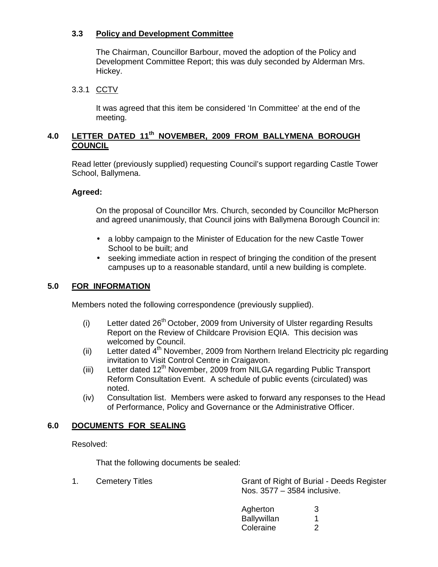# **3.3 Policy and Development Committee**

 The Chairman, Councillor Barbour, moved the adoption of the Policy and Development Committee Report; this was duly seconded by Alderman Mrs. Hickey.

# 3.3.1 CCTV

 It was agreed that this item be considered 'In Committee' at the end of the meeting.

# **4.0 LETTER DATED 11th NOVEMBER, 2009 FROM BALLYMENA BOROUGH COUNCIL**

 Read letter (previously supplied) requesting Council's support regarding Castle Tower School, Ballymena.

# **Agreed:**

On the proposal of Councillor Mrs. Church, seconded by Councillor McPherson and agreed unanimously, that Council joins with Ballymena Borough Council in:

- a lobby campaign to the Minister of Education for the new Castle Tower School to be built; and
- seeking immediate action in respect of bringing the condition of the present campuses up to a reasonable standard, until a new building is complete.

# **5.0 FOR INFORMATION**

Members noted the following correspondence (previously supplied).

- (i) Letter dated  $26<sup>th</sup>$  October, 2009 from University of Ulster regarding Results Report on the Review of Childcare Provision EQIA. This decision was welcomed by Council.
- (ii) Letter dated  $4<sup>th</sup>$  November, 2009 from Northern Ireland Electricity plc regarding invitation to Visit Control Centre in Craigavon.
- (iii) Letter dated  $12<sup>th</sup>$  November, 2009 from NILGA regarding Public Transport Reform Consultation Event. A schedule of public events (circulated) was noted.
- (iv) Consultation list. Members were asked to forward any responses to the Head of Performance, Policy and Governance or the Administrative Officer.

# **6.0 DOCUMENTS FOR SEALING**

Resolved:

That the following documents be sealed:

1. Cemetery Titles Grant of Right of Burial - Deeds Register Nos. 3577 – 3584 inclusive.

| Agherton    |  |
|-------------|--|
| Ballywillan |  |
| Coleraine   |  |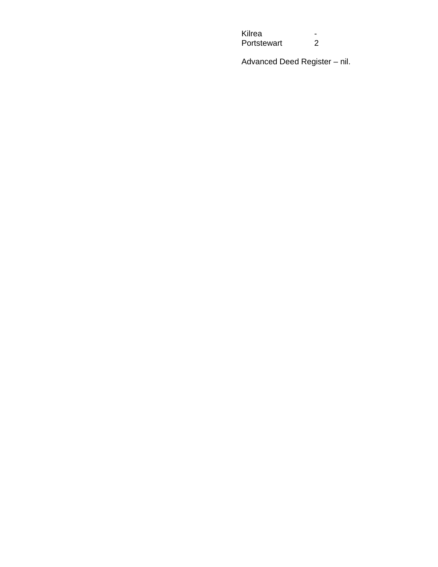Kilrea -<br>Portstewart 2 Portstewart

Advanced Deed Register – nil.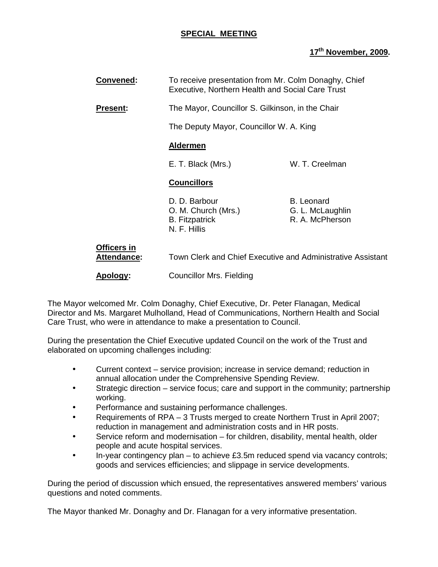# **SPECIAL MEETING**

# **17th November, 2009.**

| Convened:                  | To receive presentation from Mr. Colm Donaghy, Chief<br>Executive, Northern Health and Social Care Trust |                                                          |
|----------------------------|----------------------------------------------------------------------------------------------------------|----------------------------------------------------------|
| <b>Present:</b>            | The Mayor, Councillor S. Gilkinson, in the Chair                                                         |                                                          |
|                            | The Deputy Mayor, Councillor W. A. King                                                                  |                                                          |
|                            | <b>Aldermen</b>                                                                                          |                                                          |
|                            | E. T. Black (Mrs.)                                                                                       | W. T. Creelman                                           |
|                            | <b>Councillors</b>                                                                                       |                                                          |
|                            | D. D. Barbour<br>O. M. Church (Mrs.)<br><b>B.</b> Fitzpatrick<br>N. F. Hillis                            | <b>B.</b> Leonard<br>G. L. McLaughlin<br>R. A. McPherson |
| Officers in<br>Attendance: | Town Clerk and Chief Executive and Administrative Assistant                                              |                                                          |

**Apology:** Councillor Mrs. Fielding

The Mayor welcomed Mr. Colm Donaghy, Chief Executive, Dr. Peter Flanagan, Medical Director and Ms. Margaret Mulholland, Head of Communications, Northern Health and Social Care Trust, who were in attendance to make a presentation to Council.

During the presentation the Chief Executive updated Council on the work of the Trust and elaborated on upcoming challenges including:

- Current context service provision; increase in service demand; reduction in annual allocation under the Comprehensive Spending Review.
- Strategic direction service focus; care and support in the community; partnership working.
- Performance and sustaining performance challenges.
- Requirements of RPA 3 Trusts merged to create Northern Trust in April 2007; reduction in management and administration costs and in HR posts.
- Service reform and modernisation for children, disability, mental health, older people and acute hospital services.
- In-year contingency plan to achieve £3.5m reduced spend via vacancy controls; goods and services efficiencies; and slippage in service developments.

During the period of discussion which ensued, the representatives answered members' various questions and noted comments.

The Mayor thanked Mr. Donaghy and Dr. Flanagan for a very informative presentation.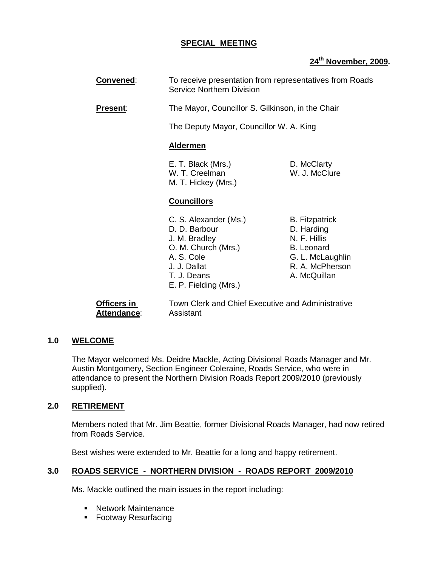# **SPECIAL MEETING**

# **24th November, 2009.**

**Convened:** To receive presentation from representatives from Roads Service Northern Division

**Present:** The Mayor, Councillor S. Gilkinson, in the Chair

The Deputy Mayor, Councillor W. A. King

### **Aldermen**

E. T. Black (Mrs.) D. McClarty W. T. Creelman W. J. McClure M. T. Hickey (Mrs.)

### **Councillors**

- C. S. Alexander (Ms.) B. Fitzpatrick D. D. Barbour D. Harding J. M. Bradley N. F. Hillis O. M. Church (Mrs.) B. Leonard A. S. Cole G. L. McLaughlin J. J. Dallat R. A. McPherson T. J. Deans A. McQuillan E. P. Fielding (Mrs.)
	-
	-
	-

**Attendance**: Assistant

**Officers in Town Clerk and Chief Executive and Administrative** 

# **1.0 WELCOME**

The Mayor welcomed Ms. Deidre Mackle, Acting Divisional Roads Manager and Mr. Austin Montgomery, Section Engineer Coleraine, Roads Service, who were in attendance to present the Northern Division Roads Report 2009/2010 (previously supplied).

# **2.0 RETIREMENT**

Members noted that Mr. Jim Beattie, former Divisional Roads Manager, had now retired from Roads Service.

Best wishes were extended to Mr. Beattie for a long and happy retirement.

# **3.0 ROADS SERVICE - NORTHERN DIVISION - ROADS REPORT 2009/2010**

Ms. Mackle outlined the main issues in the report including:

- **Network Maintenance**
- **Footway Resurfacing**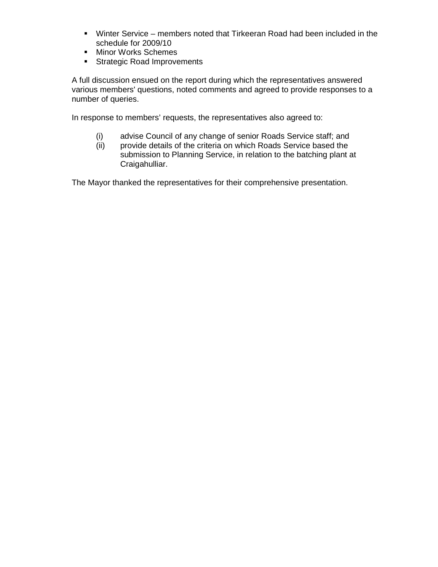- Winter Service members noted that Tirkeeran Road had been included in the schedule for 2009/10
- **Minor Works Schemes**
- **Strategic Road Improvements**

A full discussion ensued on the report during which the representatives answered various members' questions, noted comments and agreed to provide responses to a number of queries.

In response to members' requests, the representatives also agreed to:

- (i) advise Council of any change of senior Roads Service staff; and
- (ii) provide details of the criteria on which Roads Service based the submission to Planning Service, in relation to the batching plant at Craigahulliar.

The Mayor thanked the representatives for their comprehensive presentation.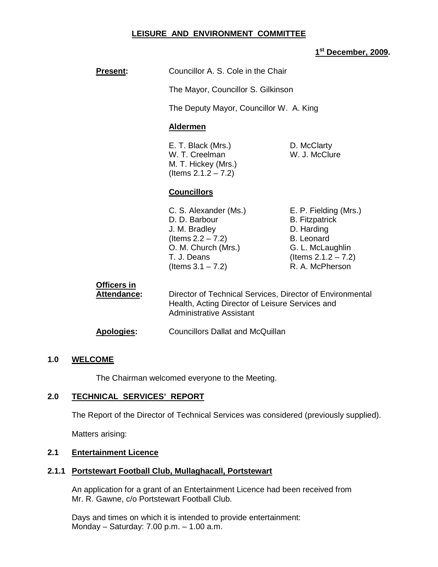# **LEISURE AND ENVIRONMENT COMMITTEE**

# **1 st December, 2009.**

| <b>Present:</b>                   | Councillor A. S. Cole in the Chair                                                                                                            |                                                                                                                                                    |
|-----------------------------------|-----------------------------------------------------------------------------------------------------------------------------------------------|----------------------------------------------------------------------------------------------------------------------------------------------------|
|                                   | The Mayor, Councillor S. Gilkinson                                                                                                            |                                                                                                                                                    |
|                                   | The Deputy Mayor, Councillor W. A. King                                                                                                       |                                                                                                                                                    |
|                                   | <b>Aldermen</b>                                                                                                                               |                                                                                                                                                    |
|                                   | E. T. Black (Mrs.)<br>W. T. Creelman<br>M. T. Hickey (Mrs.)<br>(Items $2.1.2 - 7.2$ )                                                         | D. McClarty<br>W. J. McClure                                                                                                                       |
|                                   | <b>Councillors</b>                                                                                                                            |                                                                                                                                                    |
|                                   | C. S. Alexander (Ms.)<br>D. D. Barbour<br>J. M. Bradley<br>(Items $2.2 - 7.2$ )<br>O. M. Church (Mrs.)<br>T. J. Deans<br>(Items $3.1 - 7.2$ ) | E. P. Fielding (Mrs.)<br><b>B.</b> Fitzpatrick<br>D. Harding<br><b>B.</b> Leonard<br>G. L. McLaughlin<br>(Items $2.1.2 - 7.2$ )<br>R. A. McPherson |
| Officers in<br><b>Attendance:</b> | Director of Technical Services, Director of Environmental<br>Health, Acting Director of Leisure Services and<br>Administrative Assistant      |                                                                                                                                                    |

# **Apologies:** Councillors Dallat and McQuillan

# **1.0 WELCOME**

The Chairman welcomed everyone to the Meeting.

# **2.0 TECHNICAL SERVICES' REPORT**

The Report of the Director of Technical Services was considered (previously supplied).

Matters arising:

# **2.1 Entertainment Licence**

# **2.1.1 Portstewart Football Club, Mullaghacall, Portstewart**

 An application for a grant of an Entertainment Licence had been received from Mr. R. Gawne, c/o Portstewart Football Club.

 Days and times on which it is intended to provide entertainment: Monday – Saturday: 7.00 p.m. – 1.00 a.m.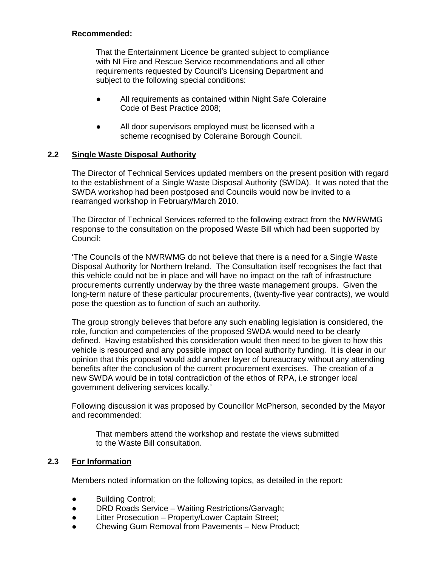# **Recommended:**

That the Entertainment Licence be granted subject to compliance with NI Fire and Rescue Service recommendations and all other requirements requested by Council's Licensing Department and subject to the following special conditions:

- All requirements as contained within Night Safe Coleraine Code of Best Practice 2008;
- All door supervisors employed must be licensed with a scheme recognised by Coleraine Borough Council.

# **2.2 Single Waste Disposal Authority**

 The Director of Technical Services updated members on the present position with regard to the establishment of a Single Waste Disposal Authority (SWDA). It was noted that the SWDA workshop had been postposed and Councils would now be invited to a rearranged workshop in February/March 2010.

 The Director of Technical Services referred to the following extract from the NWRWMG response to the consultation on the proposed Waste Bill which had been supported by Council:

'The Councils of the NWRWMG do not believe that there is a need for a Single Waste Disposal Authority for Northern Ireland. The Consultation itself recognises the fact that this vehicle could not be in place and will have no impact on the raft of infrastructure procurements currently underway by the three waste management groups. Given the long-term nature of these particular procurements, (twenty-five year contracts), we would pose the question as to function of such an authority.

The group strongly believes that before any such enabling legislation is considered, the role, function and competencies of the proposed SWDA would need to be clearly defined. Having established this consideration would then need to be given to how this vehicle is resourced and any possible impact on local authority funding. It is clear in our opinion that this proposal would add another layer of bureaucracy without any attending benefits after the conclusion of the current procurement exercises. The creation of a new SWDA would be in total contradiction of the ethos of RPA, i.e stronger local government delivering services locally.'

Following discussion it was proposed by Councillor McPherson, seconded by the Mayor and recommended:

 That members attend the workshop and restate the views submitted to the Waste Bill consultation.

# **2.3 For Information**

Members noted information on the following topics, as detailed in the report:

- Building Control;
- DRD Roads Service Waiting Restrictions/Garvagh;
- Litter Prosecution Property/Lower Captain Street;
- Chewing Gum Removal from Pavements New Product;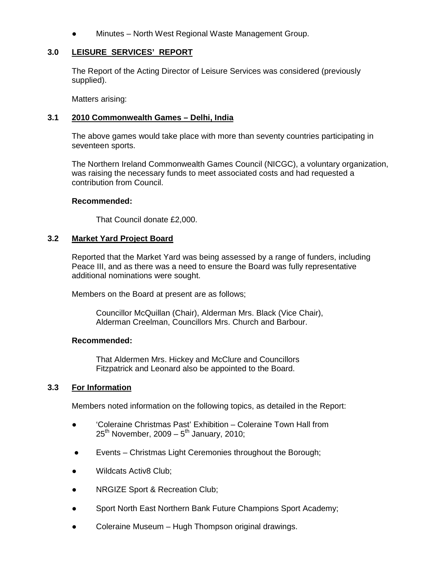Minutes – North West Regional Waste Management Group.

# **3.0 LEISURE SERVICES' REPORT**

 The Report of the Acting Director of Leisure Services was considered (previously supplied).

Matters arising:

# **3.1 2010 Commonwealth Games – Delhi, India**

 The above games would take place with more than seventy countries participating in seventeen sports.

 The Northern Ireland Commonwealth Games Council (NICGC), a voluntary organization, was raising the necessary funds to meet associated costs and had requested a contribution from Council.

### **Recommended:**

That Council donate £2,000.

### **3.2 Market Yard Project Board**

 Reported that the Market Yard was being assessed by a range of funders, including Peace III, and as there was a need to ensure the Board was fully representative additional nominations were sought.

Members on the Board at present are as follows;

 Councillor McQuillan (Chair), Alderman Mrs. Black (Vice Chair), Alderman Creelman, Councillors Mrs. Church and Barbour.

#### **Recommended:**

That Aldermen Mrs. Hickey and McClure and Councillors Fitzpatrick and Leonard also be appointed to the Board.

# **3.3 For Information**

Members noted information on the following topics, as detailed in the Report:

- 'Coleraine Christmas Past' Exhibition Coleraine Town Hall from  $25<sup>th</sup>$  November, 2009 –  $5<sup>th</sup>$  January, 2010;
- Events Christmas Light Ceremonies throughout the Borough;
- Wildcats Activ<sub>8</sub> Club:
- NRGIZE Sport & Recreation Club;
- Sport North East Northern Bank Future Champions Sport Academy;
- Coleraine Museum Hugh Thompson original drawings.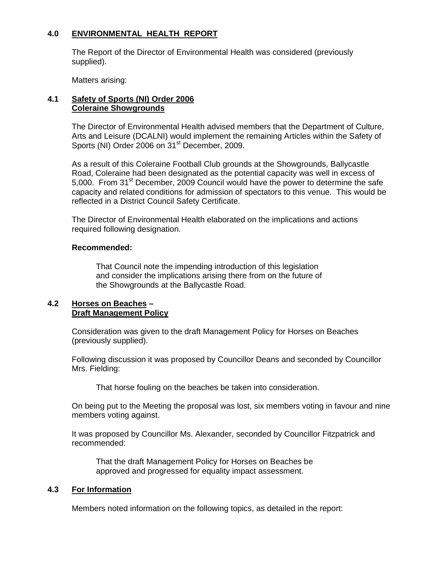# **4.0 ENVIRONMENTAL HEALTH REPORT**

 The Report of the Director of Environmental Health was considered (previously supplied).

Matters arising:

# **4.1 Safety of Sports (NI) Order 2006 Coleraine Showgrounds**

 The Director of Environmental Health advised members that the Department of Culture, Arts and Leisure (DCALNI) would implement the remaining Articles within the Safety of Sports (NI) Order 2006 on 31<sup>st</sup> December, 2009.

 As a result of this Coleraine Football Club grounds at the Showgrounds, Ballycastle Road, Coleraine had been designated as the potential capacity was well in excess of 5,000. From 31<sup>st</sup> December, 2009 Council would have the power to determine the safe capacity and related conditions for admission of spectators to this venue. This would be reflected in a District Council Safety Certificate.

 The Director of Environmental Health elaborated on the implications and actions required following designation.

# **Recommended:**

That Council note the impending introduction of this legislation and consider the implications arising there from on the future of the Showgrounds at the Ballycastle Road.

#### **4.2 Horses on Beaches – Draft Management Policy**

 Consideration was given to the draft Management Policy for Horses on Beaches (previously supplied).

 Following discussion it was proposed by Councillor Deans and seconded by Councillor Mrs. Fielding:

That horse fouling on the beaches be taken into consideration.

 On being put to the Meeting the proposal was lost, six members voting in favour and nine members voting against.

 It was proposed by Councillor Ms. Alexander, seconded by Councillor Fitzpatrick and recommended:

 That the draft Management Policy for Horses on Beaches be approved and progressed for equality impact assessment.

# **4.3 For Information**

Members noted information on the following topics, as detailed in the report: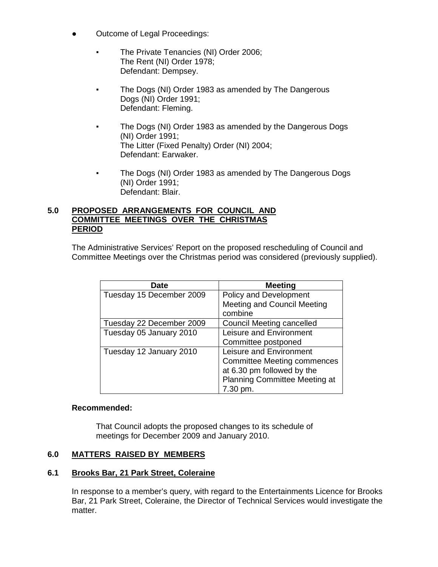- Outcome of Legal Proceedings:
	- The Private Tenancies (NI) Order 2006; The Rent (NI) Order 1978; Defendant: Dempsey.
	- The Dogs (NI) Order 1983 as amended by The Dangerous Dogs (NI) Order 1991; Defendant: Fleming.
	- The Dogs (NI) Order 1983 as amended by the Dangerous Dogs (NI) Order 1991; The Litter (Fixed Penalty) Order (NI) 2004; Defendant: Earwaker.
	- The Dogs (NI) Order 1983 as amended by The Dangerous Dogs (NI) Order 1991; Defendant: Blair.

# **5.0 PROPOSED ARRANGEMENTS FOR COUNCIL AND COMMITTEE MEETINGS OVER THE CHRISTMAS PERIOD**

The Administrative Services' Report on the proposed rescheduling of Council and Committee Meetings over the Christmas period was considered (previously supplied).

| <b>Date</b>              | <b>Meeting</b>                       |
|--------------------------|--------------------------------------|
| Tuesday 15 December 2009 | Policy and Development               |
|                          | <b>Meeting and Council Meeting</b>   |
|                          | combine                              |
| Tuesday 22 December 2009 | <b>Council Meeting cancelled</b>     |
| Tuesday 05 January 2010  | Leisure and Environment              |
|                          | Committee postponed                  |
| Tuesday 12 January 2010  | Leisure and Environment              |
|                          | <b>Committee Meeting commences</b>   |
|                          | at 6.30 pm followed by the           |
|                          | <b>Planning Committee Meeting at</b> |
|                          | 7.30 pm.                             |

# **Recommended:**

That Council adopts the proposed changes to its schedule of meetings for December 2009 and January 2010.

# **6.0 MATTERS RAISED BY MEMBERS**

# **6.1 Brooks Bar, 21 Park Street, Coleraine**

 In response to a member's query, with regard to the Entertainments Licence for Brooks Bar, 21 Park Street, Coleraine, the Director of Technical Services would investigate the matter.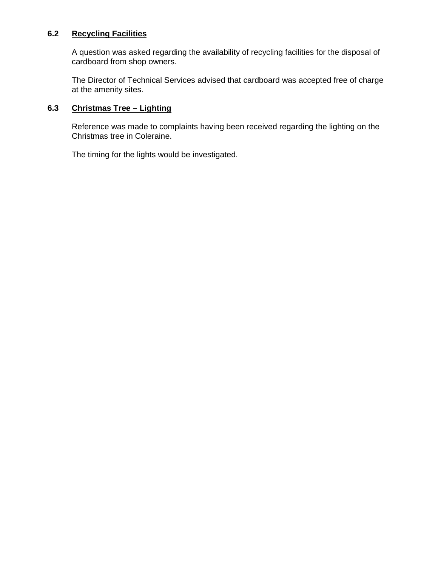# **6.2 Recycling Facilities**

 A question was asked regarding the availability of recycling facilities for the disposal of cardboard from shop owners.

 The Director of Technical Services advised that cardboard was accepted free of charge at the amenity sites.

# **6.3 Christmas Tree – Lighting**

 Reference was made to complaints having been received regarding the lighting on the Christmas tree in Coleraine.

The timing for the lights would be investigated.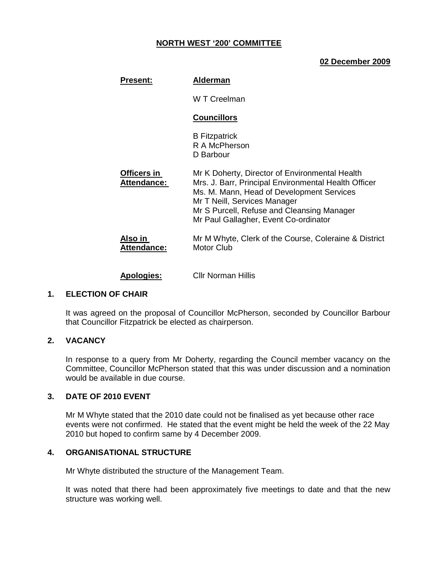# **NORTH WEST '200' COMMITTEE**

### **02 December 2009**

| <b>Present:</b>               | <b>Alderman</b>                                                                                                                                                                                                                                                            |
|-------------------------------|----------------------------------------------------------------------------------------------------------------------------------------------------------------------------------------------------------------------------------------------------------------------------|
|                               | W T Creelman                                                                                                                                                                                                                                                               |
|                               | <b>Councillors</b>                                                                                                                                                                                                                                                         |
|                               | <b>B</b> Fitzpatrick<br>R A McPherson<br>D Barbour                                                                                                                                                                                                                         |
| Officers in<br>Attendance:    | Mr K Doherty, Director of Environmental Health<br>Mrs. J. Barr, Principal Environmental Health Officer<br>Ms. M. Mann, Head of Development Services<br>Mr T Neill, Services Manager<br>Mr S Purcell, Refuse and Cleansing Manager<br>Mr Paul Gallagher, Event Co-ordinator |
| Also in<br><b>Attendance:</b> | Mr M Whyte, Clerk of the Course, Coleraine & District<br>Motor Club                                                                                                                                                                                                        |

**Apologies:** Cllr Norman Hillis

#### **1. ELECTION OF CHAIR**

 It was agreed on the proposal of Councillor McPherson, seconded by Councillor Barbour that Councillor Fitzpatrick be elected as chairperson.

# **2. VACANCY**

 In response to a query from Mr Doherty, regarding the Council member vacancy on the Committee, Councillor McPherson stated that this was under discussion and a nomination would be available in due course.

#### **3. DATE OF 2010 EVENT**

 Mr M Whyte stated that the 2010 date could not be finalised as yet because other race events were not confirmed. He stated that the event might be held the week of the 22 May 2010 but hoped to confirm same by 4 December 2009.

#### **4. ORGANISATIONAL STRUCTURE**

Mr Whyte distributed the structure of the Management Team.

It was noted that there had been approximately five meetings to date and that the new structure was working well.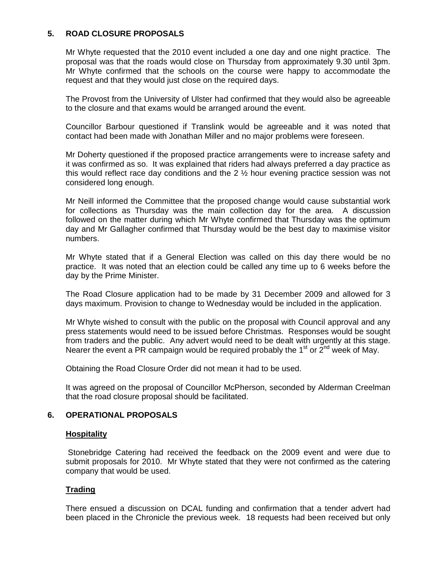# **5. ROAD CLOSURE PROPOSALS**

 Mr Whyte requested that the 2010 event included a one day and one night practice. The proposal was that the roads would close on Thursday from approximately 9.30 until 3pm. Mr Whyte confirmed that the schools on the course were happy to accommodate the request and that they would just close on the required days.

 The Provost from the University of Ulster had confirmed that they would also be agreeable to the closure and that exams would be arranged around the event.

 Councillor Barbour questioned if Translink would be agreeable and it was noted that contact had been made with Jonathan Miller and no major problems were foreseen.

 Mr Doherty questioned if the proposed practice arrangements were to increase safety and it was confirmed as so. It was explained that riders had always preferred a day practice as this would reflect race day conditions and the 2 ½ hour evening practice session was not considered long enough.

 Mr Neill informed the Committee that the proposed change would cause substantial work for collections as Thursday was the main collection day for the area. A discussion followed on the matter during which Mr Whyte confirmed that Thursday was the optimum day and Mr Gallagher confirmed that Thursday would be the best day to maximise visitor numbers.

 Mr Whyte stated that if a General Election was called on this day there would be no practice. It was noted that an election could be called any time up to 6 weeks before the day by the Prime Minister.

 The Road Closure application had to be made by 31 December 2009 and allowed for 3 days maximum. Provision to change to Wednesday would be included in the application.

 Mr Whyte wished to consult with the public on the proposal with Council approval and any press statements would need to be issued before Christmas. Responses would be sought from traders and the public. Any advert would need to be dealt with urgently at this stage. Nearer the event a PR campaign would be required probably the  $1<sup>st</sup>$  or  $2<sup>nd</sup>$  week of May.

Obtaining the Road Closure Order did not mean it had to be used.

 It was agreed on the proposal of Councillor McPherson, seconded by Alderman Creelman that the road closure proposal should be facilitated.

# **6. OPERATIONAL PROPOSALS**

#### **Hospitality**

 Stonebridge Catering had received the feedback on the 2009 event and were due to submit proposals for 2010. Mr Whyte stated that they were not confirmed as the catering company that would be used.

#### **Trading**

 There ensued a discussion on DCAL funding and confirmation that a tender advert had been placed in the Chronicle the previous week. 18 requests had been received but only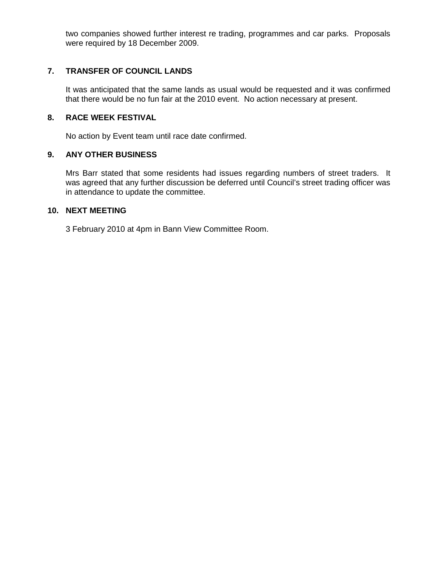two companies showed further interest re trading, programmes and car parks. Proposals were required by 18 December 2009.

# **7. TRANSFER OF COUNCIL LANDS**

 It was anticipated that the same lands as usual would be requested and it was confirmed that there would be no fun fair at the 2010 event. No action necessary at present.

### **8. RACE WEEK FESTIVAL**

No action by Event team until race date confirmed.

### **9. ANY OTHER BUSINESS**

 Mrs Barr stated that some residents had issues regarding numbers of street traders. It was agreed that any further discussion be deferred until Council's street trading officer was in attendance to update the committee.

### **10. NEXT MEETING**

3 February 2010 at 4pm in Bann View Committee Room.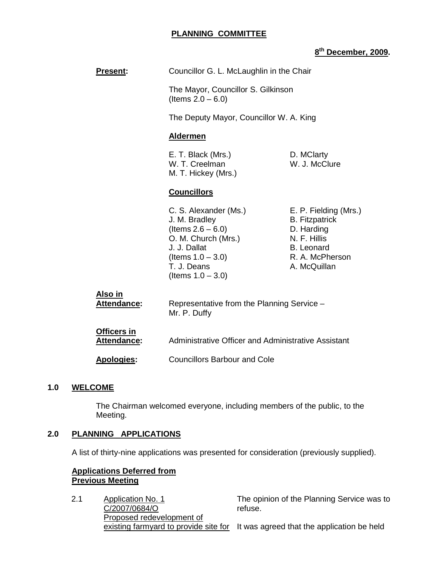### **PLANNING COMMITTEE**

# **8 th December, 2009.**

**Present:** Councillor G. L. McLaughlin in the Chair The Mayor, Councillor S. Gilkinson (Items  $2.0 - 6.0$ ) The Deputy Mayor, Councillor W. A. King **Aldermen** E. T. Black (Mrs.) D. MClarty W. T. Creelman W. J. McClure M. T. Hickey (Mrs.) **Councillors** C. S. Alexander (Ms.) E. P. Fielding (Mrs.) J. M. Bradley B. Fitzpatrick  $($ ltems  $2.6 - 6.0$ ) D. Harding O. M. Church (Mrs.) N. F. Hillis J. J. Dallat B. Leonard  $($ ltems  $1.0 - 3.0$ ) R. A. McPherson T. J. Deans **A. McQuillan** (Items  $1.0 - 3.0$ ) **Also in Attendance:** Representative from the Planning Service – Mr. P. Duffy **Officers in Attendance:** Administrative Officer and Administrative Assistant **Apologies:** Councillors Barbour and Cole

#### **1.0 WELCOME**

 The Chairman welcomed everyone, including members of the public, to the Meeting.

#### **2.0 PLANNING APPLICATIONS**

A list of thirty-nine applications was presented for consideration (previously supplied).

# **Applications Deferred from Previous Meeting**

2.1 Application No. 1 C/2007/0684/O Proposed redevelopment of existing farmyard to provide site for It was agreed that the application be held refuse.

The opinion of the Planning Service was to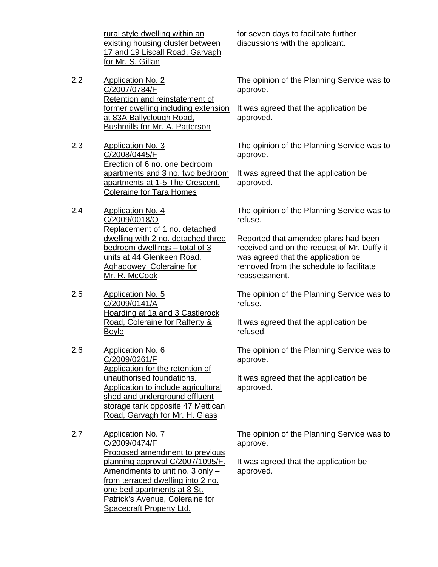rural style dwelling within an existing housing cluster between 17 and 19 Liscall Road, Garvagh for Mr. S. Gillan

- 2.2 Application No. 2 C/2007/0784/F Retention and reinstatement of former dwelling including extension at 83A Ballyclough Road, Bushmills for Mr. A. Patterson
- 2.3 Application No. 3 C/2008/0445/F Erection of 6 no. one bedroom apartments and 3 no. two bedroom apartments at 1-5 The Crescent, Coleraine for Tara Homes
- 2.4 Application No. 4 C/2009/0018/O Replacement of 1 no. detached dwelling with 2 no. detached three bedroom dwellings – total of 3 units at 44 Glenkeen Road, Aghadowey, Coleraine for Mr. R. McCook
- 2.5 Application No. 5 C/2009/0141/A Hoarding at 1a and 3 Castlerock Road, Coleraine for Rafferty & Boyle
- 2.6 Application No. 6 C/2009/0261/F Application for the retention of unauthorised foundations. Application to include agricultural shed and underground effluent storage tank opposite 47 Mettican Road, Garvagh for Mr. H. Glass
- 2.7 Application No. 7 C/2009/0474/F Proposed amendment to previous planning approval C/2007/1095/F. Amendments to unit no. 3 only – from terraced dwelling into 2 no. one bed apartments at 8 St. Patrick's Avenue, Coleraine for Spacecraft Property Ltd.

for seven days to facilitate further discussions with the applicant.

The opinion of the Planning Service was to approve.

It was agreed that the application be approved.

The opinion of the Planning Service was to approve.

It was agreed that the application be approved.

The opinion of the Planning Service was to refuse.

Reported that amended plans had been received and on the request of Mr. Duffy it was agreed that the application be removed from the schedule to facilitate reassessment.

The opinion of the Planning Service was to refuse.

It was agreed that the application be refused.

The opinion of the Planning Service was to approve.

It was agreed that the application be approved.

The opinion of the Planning Service was to approve.

It was agreed that the application be approved.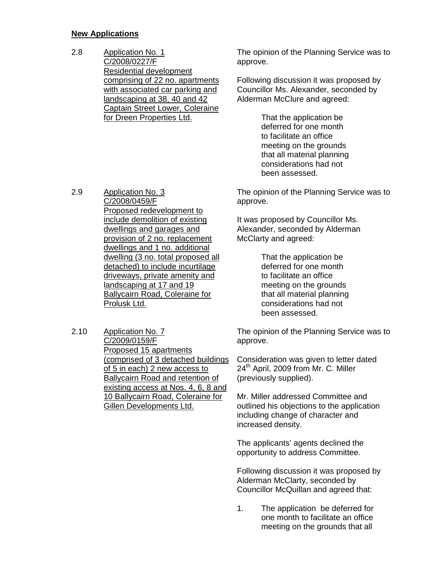### **New Applications**

2.8 Application No. 1 C/2008/0227/F Residential development comprising of 22 no. apartments with associated car parking and landscaping at 38, 40 and 42 Captain Street Lower, Coleraine for Dreen Properties Ltd.

2.9 Application No. 3 C/2008/0459/F Proposed redevelopment to include demolition of existing dwellings and garages and provision of 2 no. replacement dwellings and 1 no. additional dwelling (3 no. total proposed all detached) to include incurtilage driveways, private amenity and landscaping at 17 and 19 Ballycairn Road, Coleraine for Prolusk Ltd.

2.10 Application No. 7 C/2009/0159/F Proposed 15 apartments (comprised of 3 detached buildings of 5 in each) 2 new access to Ballycairn Road and retention of existing access at Nos. 4, 6, 8 and 10 Ballycairn Road, Coleraine for Gillen Developments Ltd.

The opinion of the Planning Service was to approve.

Following discussion it was proposed by Councillor Ms. Alexander, seconded by Alderman McClure and agreed:

> That the application be deferred for one month to facilitate an office meeting on the grounds that all material planning considerations had not been assessed.

The opinion of the Planning Service was to approve.

It was proposed by Councillor Ms. Alexander, seconded by Alderman McClarty and agreed:

> That the application be deferred for one month to facilitate an office meeting on the grounds that all material planning considerations had not been assessed.

The opinion of the Planning Service was to approve.

Consideration was given to letter dated 24<sup>th</sup> April, 2009 from Mr. C. Miller (previously supplied).

Mr. Miller addressed Committee and outlined his objections to the application including change of character and increased density.

The applicants' agents declined the opportunity to address Committee.

Following discussion it was proposed by Alderman McClarty, seconded by Councillor McQuillan and agreed that:

1. The application be deferred for one month to facilitate an office meeting on the grounds that all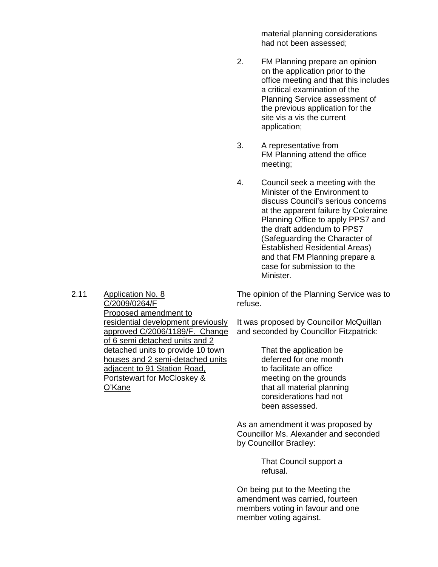material planning considerations had not been assessed;

- 2. FM Planning prepare an opinion on the application prior to the office meeting and that this includes a critical examination of the Planning Service assessment of the previous application for the site vis a vis the current application;
- 3. A representative from FM Planning attend the office meeting;
- 4. Council seek a meeting with the Minister of the Environment to discuss Council's serious concerns at the apparent failure by Coleraine Planning Office to apply PPS7 and the draft addendum to PPS7 (Safeguarding the Character of Established Residential Areas) and that FM Planning prepare a case for submission to the Minister.

The opinion of the Planning Service was to refuse.

It was proposed by Councillor McQuillan and seconded by Councillor Fitzpatrick:

> That the application be deferred for one month to facilitate an office meeting on the grounds that all material planning considerations had not been assessed.

As an amendment it was proposed by Councillor Ms. Alexander and seconded by Councillor Bradley:

> That Council support a refusal.

On being put to the Meeting the amendment was carried, fourteen members voting in favour and one member voting against.

2.11 Application No. 8 C/2009/0264/F Proposed amendment to residential development previously approved C/2006/1189/F. Change of 6 semi detached units and 2 detached units to provide 10 town houses and 2 semi-detached units adjacent to 91 Station Road, Portstewart for McCloskey & O'Kane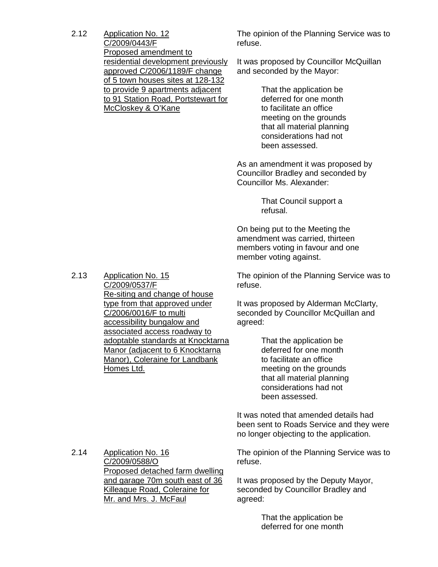2.12 Application No. 12 C/2009/0443/F Proposed amendment to residential development previously approved C/2006/1189/F change of 5 town houses sites at 128-132 to provide 9 apartments adjacent to 91 Station Road, Portstewart for McCloskey & O'Kane

The opinion of the Planning Service was to refuse.

It was proposed by Councillor McQuillan and seconded by the Mayor:

> That the application be deferred for one month to facilitate an office meeting on the grounds that all material planning considerations had not been assessed.

As an amendment it was proposed by Councillor Bradley and seconded by Councillor Ms. Alexander:

> That Council support a refusal.

On being put to the Meeting the amendment was carried, thirteen members voting in favour and one member voting against.

The opinion of the Planning Service was to refuse.

It was proposed by Alderman McClarty, seconded by Councillor McQuillan and agreed:

> That the application be deferred for one month to facilitate an office meeting on the grounds that all material planning considerations had not been assessed.

It was noted that amended details had been sent to Roads Service and they were no longer objecting to the application.

The opinion of the Planning Service was to refuse.

It was proposed by the Deputy Mayor, seconded by Councillor Bradley and agreed:

> That the application be deferred for one month

2.13 Application No. 15 C/2009/0537/F Re-siting and change of house type from that approved under C/2006/0016/F to multi accessibility bungalow and associated access roadway to adoptable standards at Knocktarna Manor (adjacent to 6 Knocktarna Manor), Coleraine for Landbank Homes Ltd.

2.14 Application No. 16 C/2009/0588/O Proposed detached farm dwelling and garage 70m south east of 36 Killeague Road, Coleraine for Mr. and Mrs. J. McFaul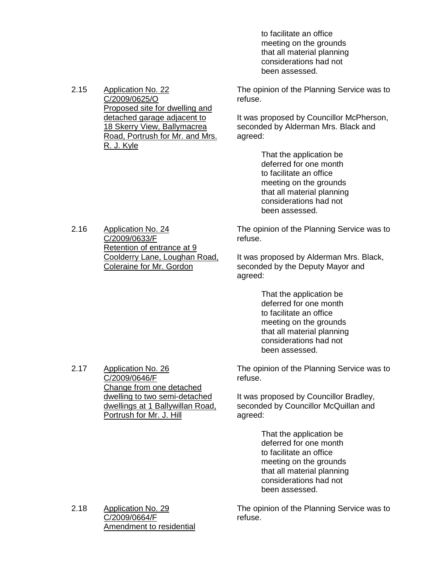to facilitate an office meeting on the grounds that all material planning considerations had not been assessed.

The opinion of the Planning Service was to refuse.

It was proposed by Councillor McPherson, seconded by Alderman Mrs. Black and agreed:

> That the application be deferred for one month to facilitate an office meeting on the grounds that all material planning considerations had not been assessed.

The opinion of the Planning Service was to refuse.

It was proposed by Alderman Mrs. Black, seconded by the Deputy Mayor and agreed:

> That the application be deferred for one month to facilitate an office meeting on the grounds that all material planning considerations had not been assessed.

The opinion of the Planning Service was to refuse.

It was proposed by Councillor Bradley, seconded by Councillor McQuillan and agreed:

> That the application be deferred for one month to facilitate an office meeting on the grounds that all material planning considerations had not been assessed.

The opinion of the Planning Service was to refuse.

2.15 Application No. 22 C/2009/0625/O Proposed site for dwelling and detached garage adjacent to 18 Skerry View, Ballymacrea Road, Portrush for Mr. and Mrs. R. J. Kyle

2.16 Application No. 24 C/2009/0633/F Retention of entrance at 9 Coolderry Lane, Loughan Road, Coleraine for Mr. Gordon

2.17 Application No. 26

C/2009/0646/F Change from one detached dwelling to two semi-detached dwellings at 1 Ballywillan Road, Portrush for Mr. J. Hill

2.18 Application No. 29 C/2009/0664/F Amendment to residential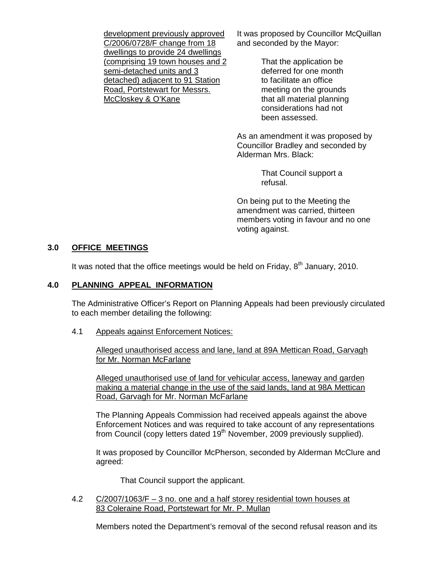development previously approved C/2006/0728/F change from 18 dwellings to provide 24 dwellings (comprising 19 town houses and 2 semi-detached units and 3 detached) adjacent to 91 Station Road, Portstewart for Messrs. McCloskey & O'Kane

It was proposed by Councillor McQuillan and seconded by the Mayor:

> That the application be deferred for one month to facilitate an office meeting on the grounds that all material planning considerations had not been assessed.

As an amendment it was proposed by Councillor Bradley and seconded by Alderman Mrs. Black:

> That Council support a refusal.

On being put to the Meeting the amendment was carried, thirteen members voting in favour and no one voting against.

# **3.0 OFFICE MEETINGS**

It was noted that the office meetings would be held on Friday,  $8<sup>th</sup>$  January, 2010.

# **4.0 PLANNING APPEAL INFORMATION**

 The Administrative Officer's Report on Planning Appeals had been previously circulated to each member detailing the following:

4.1 Appeals against Enforcement Notices:

 Alleged unauthorised access and lane, land at 89A Mettican Road, Garvagh for Mr. Norman McFarlane

 Alleged unauthorised use of land for vehicular access, laneway and garden making a material change in the use of the said lands, land at 98A Mettican Road, Garvagh for Mr. Norman McFarlane

 The Planning Appeals Commission had received appeals against the above Enforcement Notices and was required to take account of any representations from Council (copy letters dated  $19<sup>th</sup>$  November, 2009 previously supplied).

 It was proposed by Councillor McPherson, seconded by Alderman McClure and agreed:

That Council support the applicant.

 4.2 C/2007/1063/F – 3 no. one and a half storey residential town houses at 83 Coleraine Road, Portstewart for Mr. P. Mullan

Members noted the Department's removal of the second refusal reason and its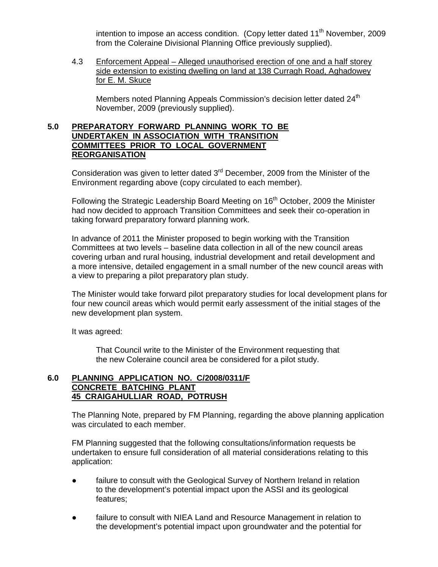intention to impose an access condition. (Copy letter dated  $11<sup>th</sup>$  November, 2009 from the Coleraine Divisional Planning Office previously supplied).

 4.3 Enforcement Appeal – Alleged unauthorised erection of one and a half storey side extension to existing dwelling on land at 138 Curragh Road, Aghadowey for E. M. Skuce

Members noted Planning Appeals Commission's decision letter dated  $24<sup>th</sup>$ November, 2009 (previously supplied).

# **5.0 PREPARATORY FORWARD PLANNING WORK TO BE UNDERTAKEN IN ASSOCIATION WITH TRANSITION COMMITTEES PRIOR TO LOCAL GOVERNMENT REORGANISATION**

Consideration was given to letter dated 3<sup>rd</sup> December, 2009 from the Minister of the Environment regarding above (copy circulated to each member).

Following the Strategic Leadership Board Meeting on 16<sup>th</sup> October, 2009 the Minister had now decided to approach Transition Committees and seek their co-operation in taking forward preparatory forward planning work.

 In advance of 2011 the Minister proposed to begin working with the Transition Committees at two levels – baseline data collection in all of the new council areas covering urban and rural housing, industrial development and retail development and a more intensive, detailed engagement in a small number of the new council areas with a view to preparing a pilot preparatory plan study.

 The Minister would take forward pilot preparatory studies for local development plans for four new council areas which would permit early assessment of the initial stages of the new development plan system.

It was agreed:

 That Council write to the Minister of the Environment requesting that the new Coleraine council area be considered for a pilot study.

# **6.0 PLANNING APPLICATION NO. C/2008/0311/F CONCRETE BATCHING PLANT 45 CRAIGAHULLIAR ROAD, POTRUSH**

 The Planning Note, prepared by FM Planning, regarding the above planning application was circulated to each member.

 FM Planning suggested that the following consultations/information requests be undertaken to ensure full consideration of all material considerations relating to this application:

- failure to consult with the Geological Survey of Northern Ireland in relation to the development's potential impact upon the ASSI and its geological features;
- failure to consult with NIEA Land and Resource Management in relation to the development's potential impact upon groundwater and the potential for